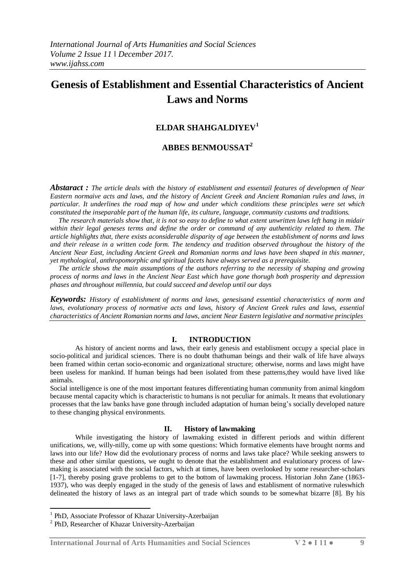# **Genesis of Establishment and Essential Characteristics of Ancient Laws and Norms**

## **ELDAR SHAHGALDIYEV<sup>1</sup>**

## **ABBES BENMOUSSAT<sup>2</sup>**

*Abstaract : The article deals with the history of establisment and essentail features of developmen of Near Eastern normaive acts and laws, and the history of Ancient Greek and Ancient Romanian rules and laws, in particular. It underlines the road map of how and under which conditions these principles were set which constituted the inseparable part of the human life, its culture, language, community customs and traditions.* 

 *The research materials show that, it is not so easy to define to what extent unwritten laws left hang in midair within their legal geneses terms and define the order or command of any authenticity related to them. The article highlights that, there exists aconsiderable disparity of age between the establishment of norms and laws and their release in a written code form. The tendency and tradition observed throughout the history of the Ancient Near East, including Ancient Greek and Romanian norms and laws have been shaped in this manner, yet mythological, anthropomorphic and spiritual facets have always served as a prerequisite.* 

 *The article shows the main assumptions of the authors referring to the necessity of shaping and growing process of norms and laws in the Ancient Near East which have gone thorugh both prosperity and depression phases and throughout millennia, but could succeed and develop until our days*

*Keywords: History of establishment of norms and laws, genesisand essential characteristics of norm and laws, evolutionary process of normative acts and laws, history of Ancient Greek rules and laws, essential characteristics of Ancient Romanian norms and laws, ancient Near Eastern legislative and normative principles*

#### **I. INTRODUCTION**

As history of ancient norms and laws, their early genesis and establisment occupy a special place in socio-political and juridical sciences. There is no doubt thathuman beings and their walk of life have always been framed within certan socio-economic and organizational structure; otherwise, norms and laws might have been useless for mankind. If human beings had been isolated from these patterns,they would have lived like animals.

Social intelligence is one of the most important features differentiating human community from animal kingdom because mental capacity which is characteristic to humans is not peculiar for animals. It means that evolutionary processes that the law banks have gone through included adaptation of human being's socially developed nature to these changing physical environments.

#### **II. History of lawmaking**

While investigating the history of lawmaking existed in different periods and within different unifications, we, willy-nilly, come up with some questions: Which formative elements have brought norms and laws into our life? How did the evolutionary process of norms and laws take place? While seeking answers to these and other similar questions, we ought to denote that the establishment and evalutionary process of lawmaking is associated with the social factors, which at times, have been overlooked by some researcher-scholars [1-7], thereby posing grave problems to get to the bottom of lawmaking process. Historian John Zane (1863- 1937), who was deeply engaged in the study of the genesis of laws and establisment of normative ruleswhich delineated the history of laws as an integral part of trade which sounds to be somewhat bizarre [8]. By his

-

<sup>&</sup>lt;sup>1</sup> PhD, Associate Professor of Khazar University-Azerbaijan

<sup>&</sup>lt;sup>2</sup> PhD, Researcher of Khazar University-Azerbaijan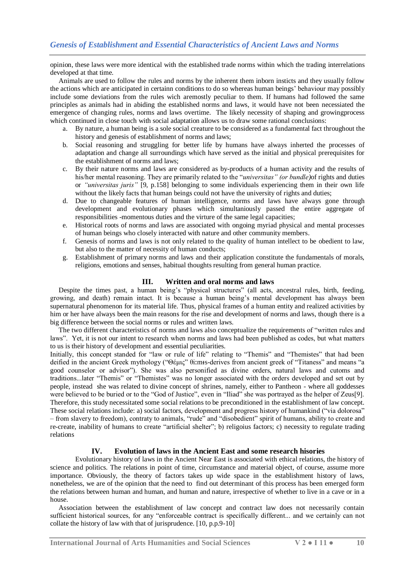opinion, these laws were more identical with the established trade norms within which the trading interrelations developed at that time.

 Animals are used to follow the rules and norms by the inherent them inborn insticts and they usually follow the actions which are anticipated in certainn conditions to do so whereas human beings' behaviour may possibly include some deviations from the rules wich aremostly peculiar to them. If humans had followed the same principles as animals had in abiding the established norms and laws, it would have not been necessiated the emergence of changing rules, norms and laws overtime. The likely necessity of shaping and growingprocess which continued in close touch with social adaptation allows us to draw some rational conclusions:

- a. By nature, a human being is a sole social creature to be considered as a fundamental fact throughout the history and genesis of establishment of norms and laws;
- b. Social reasoning and struggling for better life by humans have always inherted the processes of adaptation and change all surroundings which have served as the initial and physical prerequisites for the establishment of norms and laws;
- c. By their nature norms and laws are considered as by-products of a human activity and the results of his/her mental reasoning. They are primarily related to the "*universitas" (or bundle)*of rights and duties or *"universitas juris"* [9, p.158] belonging to some individuals experiencing them in their own life without the likely facts that human beings could not have the university of rights and duties;
- d. Due to changeable features of human intelligence, norms and laws have always gone through development and evolutionary phases which simultaniously passed the entire aggregate of responsibilities -momentous duties and the virture of the same legal capacities;
- e. Historical roots of norms and laws are associated with ongoing myriad physical and mental processes of human beings who closely interacted with nature and other community members.
- f. Genesis of norms and laws is not only related to the quality of human intellect to be obedient to law, but also to the matter of necessity of human conducts;
- g. Establishment of primary norms and laws and their application constitute the fundamentals of morals, religions, emotions and senses, habitual thoughts resulting from general human practice.

#### **III. Written and oral norms and laws**

 Despite the times past, a human being's "physical structures" (all acts, ancestral rules, birth, feeding, growing, and death) remain intact. It is because a human being's mental development has always been supernatural phenomenon for its material life. Thus, physical frames of a human entity and realized activities by him or her have always been the main reasons for the rise and development of norms and laws, though there is a big difference between the social norms or rules and written laws.

 The two different characteristics of norms and laws also conceptualize the requirements of "written rules and laws". Yet, it is not our intent to research when norms and laws had been published as codes, but what matters to us is their history of development and essential peculiarities.

Initially, this concept standed for "law or rule of life" relating to "Themis" and "Themistes" that had been deified in the ancient Greek mythology ("Θέμις" θiːmɨs-derives from ancient greek of "Titaness" and means "a good counselor or advisor"). She was also personified as divine orders, natural laws and cutoms and traditions...later "Themis" or "Themistes" was no longer associated with the orders developed and set out by people, instead she was related to divine concept of shrines, namely, either to Pantheon - where all goddesses were believed to be buried or to the "God of Justice", even in "Iliad" she was portrayed as the helper of Zeus[9]. Therefore, this study necessitated some social relations to be preconditioned in the establishment of law concept. These social relations include: a) social factors, development and progress history of humankind ("via dolorosa" – from slavery to freedom), contraty to animals, "rude" and "disobedient" spirit of humans, ability to create and re-create, inability of humans to create "artificial shelter"; b) religoius factors; c) necessity to regulate trading relations

#### **IV. Evolution of laws in the Ancient East and some research hisories**

 Evolutionary history of laws in the Ancient Near East is associated with ethical relations, the history of science and politics. The relations in point of time, circumstance and material object, of course, assume more importance. Obviously, the theory of factors takes up wide space in the establishment history of laws, nonetheless, we are of the opinion that the need to find out determinant of this process has been emerged form the relations between human and human, and human and nature, irrespective of whether to live in a cave or in a house.

 Association between the establishment of law concept and contract law does not necessarily contain sufficient historical sources, for any "enforceable contract is specifically different... and we certainly can not collate the history of law with that of jurisprudence. [10, p.p.9-10]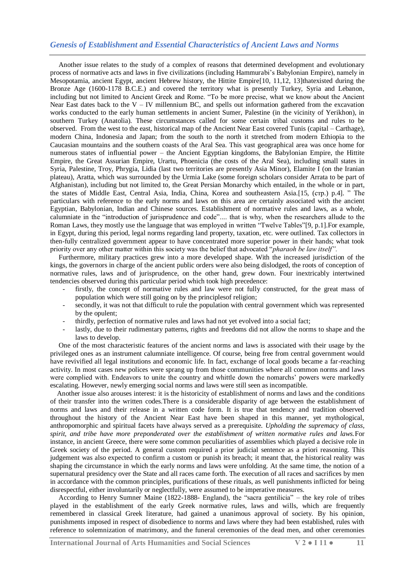### *Genesis of Establishment and Essential Characteristics of Ancient Laws and Norms*

 Another issue relates to the study of a complex of reasons that determined development and evolutionary process of normative acts and laws in five civilizations (including Hammurabi's Babylonian Empire), namely in Mesopotamia, ancient Egypt, ancient Hebrew history, the Hittite Empire[10, 11,12, 13]thatexisted during the Bronze Age (1600-1178 B.C.E.) and covered the territory what is presently Turkey, Syria and Lebanon, including but not limited to Ancient Greek and Rome. "To be more precise, what we know about the Ancient Near East dates back to the V – IV millennium BC, and spells out information gathered from the excavation works conducted to the early human settlements in ancient Sumer, Palestine (in the vicinity of Yerikhon), in southern Turkey (Anatolia). These circumstances called for some certain tribal customs and rules to be observed. From the west to the east, historical map of the Ancient Near East covered Tunis (capital – Carthage), modern China, Indonesia and Japan; from the south to the north it stretched from modern Ethiopia to the Caucasian mountains and the southern coasts of the Aral Sea. This vast geographical area was once home for numerous states of influential power – the Ancient Egyptian kingdoms, the Babylonian Empire, the Hittite Empire, the Great Assurian Empire, Urartu, Phoenicia (the costs of the Aral Sea), including small states in Syria, Palestine, Troy, Phrygia, Lidia (last two territories are presently Asia Minor), Elamite I (on the Iranian plateau), Aratta, which was surrounded by the Urmia Lake (some foreign scholars consider Arrata to be part of Afghanistan), including but not limited to, the Great Persian Monarchy which entailed, in the whole or in part, the states of Middle East, Central Asia, India, China, Korea and southeastern Asia.[15, (стр.) p.4]. " The particulars with reference to the early norms and laws on this area are certainly associated with the ancient Egyptian, Babylonian, Indian and Chinese sources. Establishment of normative rules and laws, as a whole, calumniate in the "introduction of jurisprudence and code".... that is why, when the researchers allude to the Roman Laws, they mostly use the language that was employed in written "Twelve Tables"[9, p.1].For example, in Egypt, during this period, legal norms regarding land property, taxation, etc. were outlined. Tax collectors in then-fully centralized government appear to have concentrated more superior power in their hands; what took priority over any other matter within this society was the belief that advocated "*pharaoh be law itself".*

 Furthermore, military practices grew into a more developed shape. With the increased jurisdiction of the kings, the governors in charge of the ancient public orders were also being dislodged, the roots of conception of normative rules, laws and of jurisprudence, on the other hand, grew down. Four inextricably intertwined tendencies observed during this particular period which took high precedence:

- firstly, the concept of normative rules and law were not fully constructed, for the great mass of population which were still going on by the principlesof religion;
- secondly, it was not that difficult to rule the population with central government which was represented by the opulent;
- thirdly, perfection of normative rules and laws had not yet evolved into a social fact;
- lastly, due to their rudimentary patterns, rights and freedoms did not allow the norms to shape and the laws to develop.

 One of the most characteristic features of the ancient norms and laws is associated with their usage by the privileged ones as an instrument calumniate intelligence. Of course, being free from central government would have revivified all legal institutions and economic life. In fact, exchange of local goods became a far-reaching activity. In most cases new polices were sprang up from those communities where all common norms and laws were complied with. Endeavors to unite the country and whittle down the nomarchs' powers were markedly escalating. However, newly emerging social norms and laws were still seen as incompatible.

 Another issue also arouses interest: it is the historicity of establishment of norms and laws and the conditions of their transfer into the written codes.There is a considerable disparity of age between the establishment of norms and laws and their release in a written code form. It is true that tendency and tradition observed throughout the history of the Ancient Near East have been shaped in this manner, yet mythological, anthropomorphic and spiritual facets have always served as a prerequisite. *Upholding the supremacy of class, spirit, and tribe have more preponderated over the establishment of written normative rules and laws.*For instance, in ancient Greece, there were some common peculiarities of assemblies which played a decisive role in Greek society of the period. A general custom required a prior judicial sentence as a priori reasoning. This judgement was also expected to confirm a custom or punish its breach; it meant that, the historical reality was shaping the circumstance in which the early norms and laws were unfolding. At the same time, the notion of a supernatural presidency over the State and all races came forth. The execution of all races and sacrifices by men in accordance with the common principles, purifications of these rituals, as well punishments inflicted for being disrespectful, either involuntarily or neglectfully, were assumed to be imperative measures.

 According to Henry Sumner Maine (1822-1888- England), the "sacra gentilicia" – the key role of tribes played in the establishment of the early Greek normative rules, laws and wills, which are frequently remembered in classical Greek literature, had gained a unanimous approval of society. By his opinion, punishments imposed in respect of disobedience to norms and laws where they had been established, rules with reference to solemnization of matrimony, and the funeral ceremonies of the dead men, and other ceremonies

**International Journal of Arts Humanities and Social Sciences V 2 ● I 11 ● 11**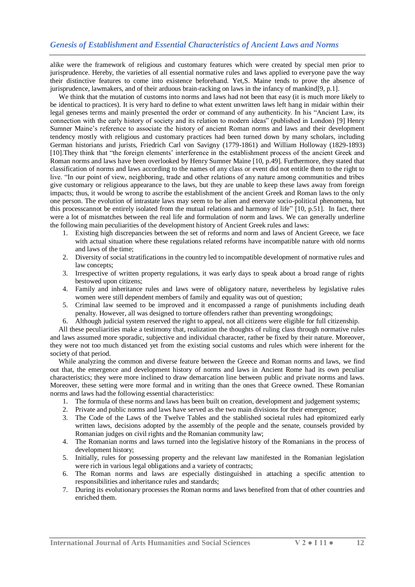alike were the framework of religious and customary features which were created by special men prior to jurisprudence. Hereby, the varieties of all essential normative rules and laws applied to everyone pave the way their distinctive features to come into existence beforehand. Yet,S. Maine tends to prove the absence of jurisprudence, lawmakers, and of their arduous brain-racking on laws in the infancy of mankind[9, p.1].

We think that the mutation of customs into norms and laws had not been that easy (it is much more likely to be identical to practices). It is very hard to define to what extent unwritten laws left hang in midair within their legal geneses terms and mainly presented the order or command of any authenticity. In his "Ancient Law, its connection with the early history of society and its relation to modern ideas" (published in London) [9] Henry Sumner Maine's reference to associate the history of ancient Roman norms and laws and their development tendency mostly with religious and customary practices had been turned down by many scholars, including German historians and jurists, Friedrich Carl von Savigny (1779-1861) and William Holloway (1829-1893) [10].They think that "the foreign elements' interference in the establishment process of the ancient Greek and Roman norms and laws have been overlooked by Henry Sumner Maine [10, p.49]. Furthermore, they stated that classification of norms and laws according to the names of any class or event did not entitle them to the right to live. "In our point of view, neighboring, trade and other relations of any nature among communities and tribes give customary or religious appearance to the laws, but they are unable to keep these laws away from foreign impacts; thus, it would be wrong to ascribe the establishment of the ancient Greek and Roman laws to the only one person. The evolution of intrastate laws may seem to be alien and enervate socio-political phenomena, but this processcannot be entirely isolated from the mutual relations and harmony of life" [10, p.51]. In fact, there were a lot of mismatches between the real life and formulation of norm and laws. We can generally underline the following main peculiarities of the development history of Ancient Greek rules and laws:

- 1. Existing high discrepancies between the set of reforms and norm and laws of Ancient Greece, we face with actual situation where these regulations related reforms have incompatible nature with old norms and laws of the time;
- 2. Diversity of social stratifications in the country led to incompatible development of normative rules and law concepts;
- 3. Irrespective of written property regulations, it was early days to speak about a broad range of rights bestowed upon citizens;
- 4. Family and inheritance rules and laws were of obligatory nature, nevertheless by legislative rules women were still dependent members of family and equality was out of question;
- 5. Criminal law seemed to be improved and it encompassed a range of punishments including death penalty. However, all was designed to torture offenders rather than preventing wrongdoings;
- 6. Although judicial system reserved the right to appeal, not all citizens were eligible for full citizenship.

 All these peculiarities make a testimony that, realization the thoughts of ruling class through normative rules and laws assumed more sporadic, subjective and individual character, rather be fixed by their nature. Moreover, they were not too much distanced yet from the existing social customs and rules which were inherent for the society of that period.

 While analyzing the common and diverse feature between the Greece and Roman norms and laws, we find out that, the emergence and development history of norms and laws in Ancient Rome had its own peculiar characteristics; they were more inclined to draw demarcation line between public and private norms and laws. Moreover, these setting were more formal and in writing than the ones that Greece owned. These Romanian norms and laws had the following essential characteristics:

- 1. The formula of these norms and laws has been built on creation, development and judgement systems;
- 2. Private and public norms and laws have served as the two main divisions for their emergence;
- 3. The Code of the Laws of the Twelve Tables and the stablished societal rules had epitomized early written laws, decisions adopted by the assembly of the people and the senate, counsels provided by Romanian judges on civil rights and the Romanian community law;
- 4. The Romanian norms and laws turned into the legislative history of the Romanians in the process of development history;
- 5. Initially, rules for possessing property and the relevant law manifested in the Romanian legislation were rich in various legal obligations and a variety of contracts;
- 6. The Roman norms and laws are especially distinguished in attaching a specific attention to responsibilities and inheritance rules and standards;
- 7. During its evolutionary processes the Roman norms and laws benefited from that of other countries and enriched them.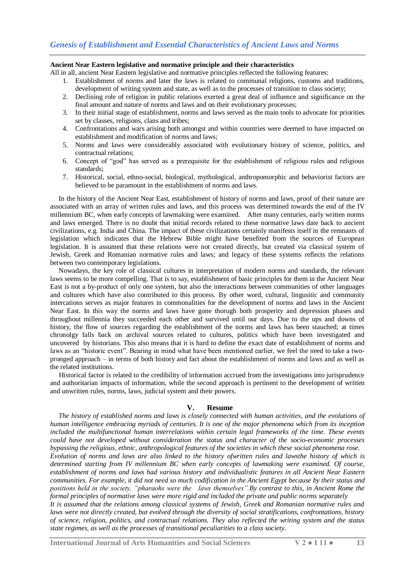#### **Ancient Near Eastern legislative and normative principle and their characteristics**

All in all, ancient Near Eastern legislative and normative principles reflected the following features:

- 1. Establishment of norms and later the laws is related to communal religions, customs and traditions, development of writing system and state, as well as to the processes of transition to class society;
- 2. Declining role of religion in public relations exerted a great deal of influence and significance on the final amount and nature of norms and laws and on their evolutionary processes;
- 3. In their initial stage of establishment, norms and laws served as the main tools to advocate for priorities set by classes, religions, clans and tribes;
- 4. Confrontations and wars arising both amongst and within countries were deemed to have impacted on establishment and modification of norms and laws;
- 5. Norms and laws were considerably associated with evolutionary history of science, politics, and contractual relations;
- 6. Concept of "god" has served as a prerequisite for the establishment of religious rules and religious standards;
- 7. Historical, social, ethno-social, biological, mythological, anthropomorphic and behaviorist factors are believed to be paramount in the establishment of norms and laws.

 In the history of the Ancient Near East, establishment of history of norms and laws, proof of their nature are associated with an array of written rules and laws, and this process was determined towards the end of the IV millennium BC, when early concepts of lawmaking were examined. After many centuries, early written norms and laws emerged. There is no doubt that initial records related to these normative laws date back to ancient civilizations, e.g. India and China. The impact of these civilizations certainly manifests itself in the remnants of legislation which indicates that the Hebrew Bible might have benefited from the sources of European legislation. It is assumed that these relations were not created directly, but created via classical system of Jewish, Greek and Romanian normative rules and laws; and legacy of these systems reflects the relations between two contemporary legislations.

 Nowadays, the key role of classical cultures in interpretation of modern norms and standards, the relevant laws seems to be more compelling. That is to say, establishment of basic principles for them in the Ancient Near East is not a by-product of only one system, but also the interactions between communities of other languages and cultures which have also contributed to this process. By other word, cultural, lingusitic and community intercations serves as major features in commonalities for the development of norms and laws in the Ancient Near East. In this way the norms and laws have gone thorugh both prosperity and depression phases and throughout millennia they succeeded each other and survived until our days. Due to the ups and downs of history, the flow of sources regarding the establishment of the norms and laws has been stauched; at times chronolgy falls back on archival sources related to cultures, politics which have been investigated and uncovered by historians. This also means that it is hard to define the exact date of establishment of norms and laws as an "historic event". Bearing in mind what have been mentioned earlier, we feel the need to take a twopronged approach – in terms of both history and fact about the establishment of norms and laws and as well as the related institutions.

 Historical factor is related to the credibility of information accrued from the investigations into jurisprudence and authoritarian impacts of information, while the second approach is pertinent to the development of written and unwritten rules, norms, laws, judicial system and their powers.

#### **V. Resume**

 *The history of established norms and laws is closely connected with human activities, and the evolutions of human intelligence embracing myriads of centuries. It is one of the major phenomena which from its inception included the multifunctional human interrelations within certain legal frameworks of the time. These events could have not developed without consideration the status and character of the socio-economic processes bypassing the religious, ethnic, anthropological features of the societies in which these social phenomena rose. Evolution of norms and laws are also linked to the history ofwritten rules and lawsthe history of which is determined starting from IV millennium BC when early concepts of lawmaking were examined. Of course, establishment of norms and laws had various history and individualistic features in all Ancient Near Eastern communities. For example, it did not need so much codification in the Ancient Egypt because by their status and positions held in the society, "pharaohs were the laws themselves".By contrast to this, in Ancient Rome the formal principles of normative laws were more rigid and included the private and public norms separately It is assumed that the relations among classical systems of Jewish, Greek and Romanian normative rules and laws were not directly created, but evolved through the diversity of social stratifications, confrontations, history of science, religion, politics, and contractual relations. They also reflected the writing system and the status state regimes, as well as the processes of transitional peculiarities to a class society.*

**International Journal of Arts Humanities and Social Sciences V 2 ● I 11 ● 13**